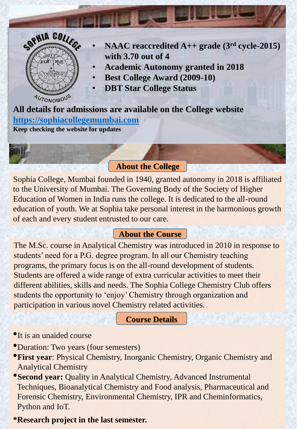

- **NAAC reaccredited A++ grade (3rd cycle-2015) with 3.70 out of 4**
- **Academic Autonomy granted in 2018**
- **Best College Award (2009-10)**
- **DBT Star College Status**

**All details for admissions are available on the College website [https://sophiacollegemumbai.com](https://sophiacollegemumbai.com/) Keep checking the website for updates**

### **About the College**

Sophia College, Mumbai founded in 1940, granted autonomy in 2018 is affiliated to the University of Mumbai. The Governing Body of the Society of Higher Education of Women in India runs the college. It is dedicated to the all-round education of youth. We at Sophia take personal interest in the harmonious growth of each and every student entrusted to our care.

# **About the Course**

The M.Sc. course in Analytical Chemistry was introduced in 2010 in response to students' need for a P.G. degree program. In all our Chemistry teaching programs, the primary focus is on the all-round development of students. Students are offered a wide range of extra curricular activities to meet their different abilities, skills and needs. The Sophia College Chemistry Club offers students the opportunity to 'enjoy' Chemistry through organization and participation in various novel Chemistry related activities.

### **Course Details**

- •It is an unaided course
- •Duration: Two years (four semesters)
- •**First year**: Physical Chemistry, Inorganic Chemistry, Organic Chemistry and Analytical Chemistry
- •**Second year:** Quality in Analytical Chemistry, Advanced Instrumental Techniques, Bioanalytical Chemistry and Food analysis, Pharmaceutical and Forensic Chemistry, Environmental Chemistry, IPR and Cheminformatics, Python and IoT.

# **\*Research project in the last semester.**